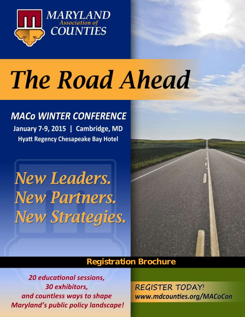

# **The Road Ahead**

## **MACO WINTER CONFERENCE**

January 7-9, 2015 | Cambridge, MD **Hyatt Regency Chesapeake Bay Hotel** 

**New Leaders. New Partners. New Strategies.** 



## *Registration Brochure*

**20 educational sessions,** 30 exhibitors, and countless ways to shape **Maryland's public policy landscape!** 

**REGISTER TODAY!** www.mdcounties.org/MACoCon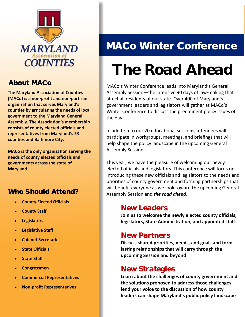

## About MACo

**The Maryland Association of Counties (MACo) is a non-profit and non-partisan organization that serves Maryland's counties by articulating the needs of local government to the Maryland General Assembly. The Association's membership consists of county elected officials and representatives from Maryland's 23 counties and Baltimore City.** 

**MACo is the only organization serving the needs of county elected officials and governments across the state of Maryland.** 

### Who Should Attend?

- **County Elected Officials**
- **County Staff**
- **Legislators**
- **Legislative Staff**
- **Cabinet Secretaries**
- **State Officials**
- **State Staff**
- **Congressmen**
- **Commercial Representatives**
- **Non-profit Representatives**

## MACo Winter Conference

## *The Road Ahead*

MACo's Winter Conference leads into Maryland's General Assembly Session—the intensive 90 days of law-making that affect all residents of our state. Over 400 of Maryland's government leaders and legislators will gather at MACo's Winter Conference to discuss the preeminent policy issues of the day.

In addition to our 20 educational sessions, attendees will participate in workgroups, meetings, and briefings that will help shape the policy landscape in the upcoming General Assembly Session.

This year, we have the pleasure of welcoming our newly elected officials and legislators. This conference will focus on introducing these new officials and legislators to the needs and priorities of county government and forming partnerships that will benefit everyone as we look toward the upcoming General Assembly Session and *the road ahead*.

### *New Leaders*

**Join us to welcome the newly elected county officials, legislators, State Administration, and appointed staff**

## *New Partners*

**Discuss shared priorities, needs, and goals and form lasting relationships that will carry through the upcoming Session and beyond**

## *New Strategies*

**Learn about the challenges of county government and the solutions proposed to address those challenges lend your voice to the discussion of how county leaders can shape Maryland's public policy landscape**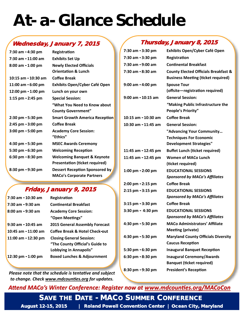## *At-a-Glance Schedule*

### Wednesday, January 7, 2015

| 7:30 am - 4:30 pm   | Registration                           |
|---------------------|----------------------------------------|
| 7:30 am - 11:00 am  | <b>Exhibits Set Up</b>                 |
| 8:00 am - 1:00 pm   | <b>Newly Elected Officials</b>         |
|                     | <b>Orientation &amp; Lunch</b>         |
| 10:15 am - 10:30 am | Coffee Break                           |
| 11:00 am - 6:00 pm  | <b>Exhibits Open/Cyber Café Open</b>   |
| 12:00 pm - 1:00 pm  | Lunch on your own                      |
| 1:15 pm - 2:45 pm   | <b>Special Session:</b>                |
|                     | "What You Need to Know about           |
|                     | <b>County Government"</b>              |
| 2:30 pm - 5:30 pm   | <b>Smart Growth America Reception</b>  |
| 2:45 pm - 3:00 pm   | <b>Coffee Break</b>                    |
| 3:00 pm - 5:00 pm   | <b>Academy Core Session:</b>           |
|                     | "Ethics"                               |
| 4:30 pm - 5:30 pm   |                                        |
|                     | <b>MSEC Awards Ceremony</b>            |
| 5:30 pm - 6:30 pm   | <b>Welcoming Reception</b>             |
| 6:30 pm - 8:30 pm   | <b>Welcoming Banquet &amp; Keynote</b> |
|                     | <b>Presentation (ticket required)</b>  |
| 8:30 pm - 9:30 pm   | <b>Dessert Reception Sponsored by</b>  |

### Friday, January 9, 2015

| 7:30 am - 10:30 am     | Registration                           |
|------------------------|----------------------------------------|
| 7:30 am - 9:30 am      | <b>Continental Breakfast</b>           |
| 8:00 am - 9:30 am      | <b>Academy Core Session:</b>           |
|                        | "Open Meetings"                        |
| $9:30$ am - 10:45 am   | <b>2015 General Assembly Forecast</b>  |
| $10:45$ am $-11:00$ am | Coffee Break & Hotel Check-out         |
| 11:00 am - 12:30 pm    | <b>Closing General Session:</b>        |
|                        | "The County Official's Guide to        |
|                        | Lobbying in Annapolis"                 |
| 12:30 pm - 1:00 pm     | <b>Boxed Lunches &amp; Adjournment</b> |

*Please note that the schedule is tentative and subject to change. Check [www.mdcounties.org](http://www.mdcounties.org/) for updates.*

#### Thursday, January 8, 2015

| 7:30 am - 3:30 pm   | <b>Exhibits Open/Cyber Café Open</b>                                                         |
|---------------------|----------------------------------------------------------------------------------------------|
| 7:30 am - 3:30 pm   | Registration                                                                                 |
| 7:30 am - 9:00 am   | <b>Continental Breakfast</b>                                                                 |
| 7:30 am - 8:30 am   | <b>County Elected Officials Breakfast &amp;</b><br><b>Business Meeting (ticket required)</b> |
| 9:00 am - 4:00 pm   | <b>Spouse Tour</b><br>(offsite-registration required)                                        |
| 9:00 am - 10:15 am  | <b>General Session:</b>                                                                      |
|                     | "Making Public Infrastructure the<br><b>People's Priority"</b>                               |
| 10:15 am - 10:30 am | <b>Coffee Break</b>                                                                          |
| 10:30 am - 11:45 am | <b>General Session:</b>                                                                      |
|                     | "Advancing Your Community                                                                    |
|                     | <b>Techniques For Economic</b>                                                               |
|                     | <b>Development Strategies"</b>                                                               |
| 11:45 am - 12:45 pm | <b>Buffet Lunch (ticket required)</b>                                                        |
| 11:45 am - 12:45 pm | <b>Women of MACo Lunch</b>                                                                   |
|                     | (ticket required)                                                                            |
| 1:00 pm - 2:00 pm   | <b>EDUCATIONAL SESSIONS</b>                                                                  |
|                     | <b>Sponsored by MACo's Affiliates</b>                                                        |
| 2:00 pm - 2:15 pm   | <b>Coffee Break</b>                                                                          |
| 2:15 pm - 3:15 pm   | <b>EDUCATIONAL SESSIONS</b>                                                                  |
|                     | <b>Sponsored by MACo's Affiliates</b>                                                        |
| 3:15 pm - 3:30 pm   | <b>Coffee Break</b>                                                                          |
| 3:30 pm - 4:30 pm   | <b>EDUCATIONAL SESSIONS</b>                                                                  |
|                     | <b>Sponsored by MACo's Affiliates</b>                                                        |
| 4:30 pm - 5:30 pm   | <b>MACo Administrators' Affiliate</b>                                                        |
|                     | <b>Meeting (private)</b>                                                                     |
| 4:30 pm - 5:30 pm   | <b>Maryland County Officials Diversity</b>                                                   |
|                     | <b>Caucus Reception</b>                                                                      |
| 5:30 pm - 6:30 pm   | <b>Inaugural Banquet Reception</b>                                                           |
| 6:30 pm - 8:30 pm   | <b>Inaugural Ceremony/Awards</b>                                                             |
|                     | <b>Banquet (ticket required)</b>                                                             |
| 8:30 pm - 9:30 pm   | <b>President's Reception</b>                                                                 |

### *Attend MACo's Winter Conference: Register now at www.mdcounties.org/MACoCon*

SAVE THE DATE - MACO SUMMER CONFERENCE

*PAGE 3* August 12-15, 2015 | Roland Powell Convention Center | Ocean City, Maryland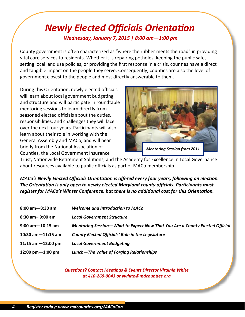## *Newly Elected Officials Orientation Wednesday, January 7, 2015 | 8:00 am—1:00 pm*

County government is often characterized as "where the rubber meets the road" in providing vital core services to residents. Whether it is repairing potholes, keeping the public safe, setting local land use policies, or providing the first response in a crisis, counties have a direct and tangible impact on the people they serve. Consequently, counties are also the level of government closest to the people and most directly answerable to them.

During this Orientation, newly elected officials will learn about local government budgeting and structure and will participate in roundtable mentoring sessions to learn directly from seasoned elected officials about the duties, responsibilities, and challenges they will face over the next four years. Participants will also learn about their role in working with the General Assembly and MACo, and will hear briefly from the National Association of Counties, the Local Government Insurance



Trust, Nationwide Retirement Solutions, and the Academy for Excellence in Local Governance about resources available to public officials as part of MACo membership.

*MACo's Newly Elected Officials Orientation is offered every four years, following an election. The Orientation is only open to newly elected Maryland county officials. Participants must register for MACo's Winter Conference, but there is no additional cost for this Orientation.*

| <b>Welcome and Introduction to MACo</b>                                     |
|-----------------------------------------------------------------------------|
| <b>Local Government Structure</b>                                           |
| Mentoring Session-What to Expect Now That You Are a County Elected Official |
| <b>County Elected Officials' Role in the Legislature</b>                    |
| <b>Local Government Budgeting</b>                                           |
| Lunch-The Value of Forging Relationships                                    |
|                                                                             |

*Questions? Contact Meetings & Events Director Virginia White at 410-269-0043 or vwhite@mdcounties.org*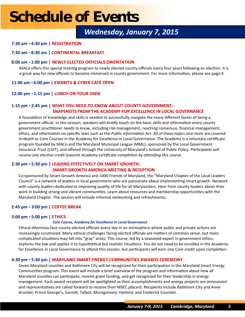## *Wednesday, January 7, 2015*

#### **7:30 am - 4:30 pm | REGISTRATION**

#### **7:30 am - 8:30 am | CONTINENTAL BREAKFAST**

#### **8:00 am - 1:00 pm | NEWLY ELECTED OFFICIALS ORIENTATION**

MACo offers this special training program to newly elected county officials every four years following an election. It is a great way for new officials to become immersed in county government. For more information, please see page 4.

#### **11:00 am - 6:00 pm | EXHIBITS & CYBER CAFÉ OPEN**

#### **12:00 pm - 1:15 pm | LUNCH ON YOUR OWN**

#### **1:15 pm - 2:45 pm | WHAT YOU NEED TO KNOW ABOUT COUNTY GOVERNMENT: SNAPSHOTS FROM THE ACADEMY FOR EXCELLENCE IN LOCAL GOVERNANCE**

A foundation of knowledge and skills is needed to successfully navigate the many different facets of being a government official. In this session, speakers will briefly touch on the basic skills and information every county government practitioner needs to know, including risk management, reaching consensus, financial management, ethics, and information on specific laws such as the *Public Information Act*. All of these topics and more are covered in-depth as Core Courses in the Academy for Excellence in Local Governance. The Academy is a voluntary certificate program founded by MACo and the Maryland Municipal League (MML), sponsored by the Local Government Insurance Trust (LGIT), and offered through the University of Maryland's School of Public Policy. *Participants will receive one elective credit towards Academy certificate completion by attending this course.*

#### **2:30 pm - 5:30 pm | LEADING EFFECTIVELY ON SMART GROWTH:**

#### **SMART GROWTH AMERICA MEETING & RECEPTION**

Co-sponsored by Smart Growth America and 1000 Friends of Maryland, the "Maryland Chapter of the Local Leaders Council" is a network of leaders in local government who are passionate about implementing smart growth. Network with county leaders dedicated to improving quality of life for all Marylanders. Hear from county leaders about their work in building strong and vibrant communities. Learn about resources and membership opportunities with the Maryland Chapter. The session will include informal networking and refreshments.

#### **2:45 pm - 3:00 pm | COFFEE BREAK**

#### **3:00 pm - 5:00 pm | ETHICS**

#### *Core Course, Academy for Excellence in Local Governance*

Ethical dilemmas face county elected officials every day in an atmosphere where public and private actions are increasingly scrutinized. Many ethical challenges facing elected officials are matters of common sense, but more complicated situations may fall into "gray" areas. This course, led by a seasoned expert in government ethics, explores the law and applies it to hypothetical but realistic situations. You do not need to be enrolled in the Academy for Excellence in Local Governance to attend this session, but participants will earn one Core credit upon completion.

#### **4:30 pm - 5:30 pm | MARYLAND SMART ENERGY COMMUNITIES AWARDS CEREMONY**

Seven Maryland counties and Baltimore City will be recognized for their participation in the Maryland Smart Energy Communities program. This event will include a brief overview of the program and information about how all Maryland counties can participate, receive grant funding, and get recognized for their leadership in energy management. Each award recipient will be spotlighted as their accomplishments and energy projects are announced and representatives are called forward to receive their MSEC placard. Recipients include Baltimore City and Anne Arundel, Prince George's, Garrett, Talbot, Montgomery, Harford, and Frederick Counties.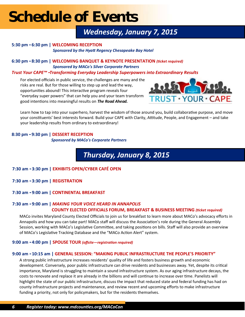## *Wednesday, January 7, 2015*

#### **5:30 pm - 6:30 pm | WELCOMING RECEPTION**  *Sponsored by the Hyatt Regency Chesapeake Bay Hotel*

**6:30 pm - 8:30 pm | WELCOMING BANQUET & KEYNOTE PRESENTATION** *(ticket required) Sponsored by MACo's Silver Corporate Partners*

*Trust Your CAPE™ -Transforming Everyday Leadership Superpowers into Extraordinary Results*

For elected officials in public service, the challenges are many and the risks are real. But for those willing to step up and lead the way, opportunities abound! This interactive program reveals four "everyday super powers" that can help you and your team transform good intentions into meaningful results on *The Road Ahead.* 



Learn how to tap into your superhero, harvest the wisdom of those around you, build collaborative purpose, and move your constituents' best interests forward. Build your CAPE with Clarity, Attitude, People, and Engagement – and take your leadership results from ordinary to extraordinary!

#### **8:30 pm - 9:30 pm | DESSERT RECEPTION**  *Sponsored by MACo's Corporate Partners*

## *Thursday, January 8, 2015*

- **7:30 am - 3:30 pm | EXHIBITS OPEN/CYBER CAFÉ OPEN**
- **7:30 am - 3:30 pm | REGISTRATION**
- **7:30 am - 9:00 am | CONTINENTAL BREAKFAST**

#### **7:30 am - 9:00 am |** *MAKING YOUR VOICE HEARD IN ANNAPOLIS* **COUNTY ELECTED OFFICIALS FORUM, BREAKFAST & BUSINESS MEETING** *(ticket required)*

MACo invites Maryland County Elected Officials to join us for breakfast to learn more about MACo's advocacy efforts in Annapolis and how you can take part! MACo staff will discuss the Association's role during the General Assembly Session, working with MACo's Legislative Committee, and taking positions on bills. Staff will also provide an overview of MACo's Legislative Tracking Database and the "MACo Action Alert" system.

#### **9:00 am - 4:00 pm | SPOUSE TOUR** *(offsite—registration required)*

#### **9:00 am - 10:15 am | GENERAL SESSION: "MAKING PUBLIC INFRASTRUCTURE THE PEOPLE'S PRIORITY"**

A strong public infrastructure increases residents' quality of life and fosters business growth and economic development. Conversely, poor public infrastructure can drive residents and businesses away. Yet, despite its critical importance, Maryland is struggling to maintain a sound infrastructure system. As our aging infrastructure decays, the costs to renovate and replace it are already in the billions and will continue to increase over time. Panelists will highlight the state of our public infrastructure, discuss the impact that reduced state and federal funding has had on county infrastructure projects and maintenance, and review recent and upcoming efforts to make infrastructure funding a priority, not only for policymakers, but for the residents themselves.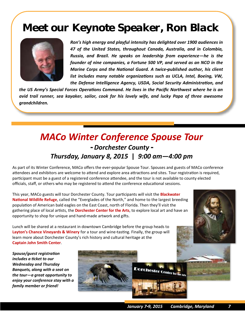## *Meet our Keynote Speaker, Ron Black*



*Ron's high energy and playful intensity has delighted over 1900 audiences in 47 of the United States, throughout Canada, Australia, and in Colombia, Russia, and Brazil. He speaks on leadership from experience—he is the founder of nine companies, a Fortune 500 VP, and served as an NCO in the Marine Corps and the National Guard. A twice-published author, his client list includes many notable organizations such as UCLA, Intel, Boeing, VW, the Defense Intelligence Agency, USDA, Social Security Administration, and* 

*the US Army's Special Forces Operations Command. He lives in the Pacific Northwest where he is an avid trail runner, sea kayaker, sailor, cook for his lovely wife, and lucky Papa of three awesome grandchildren.* 

## *MACo Winter Conference Spouse Tour - Dorchester County - Thursday, January 8, 2015* **|** *9:00 am—4:00 pm*

As part of its Winter Conference, MACo offers the ever-popular Spouse Tour. Spouses and guests of MACo conference attendees and exhibitors are welcome to attend and explore area attractions and sites. Tour registration is required, participant must be a guest of a registered conference attendee, and the tour is not available to county elected officials, staff, or others who may be registered to attend the conference educational sessions.

This year, MACo guests will tour Dorchester County. Tour participants will visit the **Blackwater National Wildlife Refuge**, called the "Everglades of the North," and home to the largest breeding population of American bald eagles on the East Coast, north of Florida. Then they'll visit the gathering place of local artists, the **Dorchester Center for the Arts**, to explore local art and have an opportunity to shop for unique and hand-made artwork and gifts.

Lunch will be shared at a restaurant in downtown Cambridge before the group heads to **Layton's Chance Vineyards & Winery** for a tour and wine-tasting. Finally, the group will learn more about Dorchester County's rich history and cultural heritage at the **Captain John Smith Center**.

*Spouse/guest registration includes a ticket to our Wednesday and Thursday Banquets, along with a seat on the tour—a great opportunity to enjoy your conference stay with a family member or friend!*

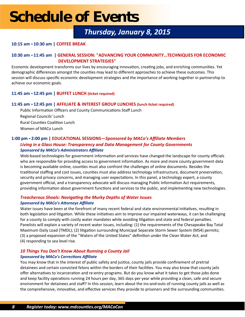## *Thursday, January 8, 2015*

#### **10:15 am - 10:30 am | COFFEE BREAK**

#### **10:30 am - 11:45 am | GENERAL SESSION: "ADVANCING YOUR COMMUNITY…TECHNIQUES FOR ECONOMIC DEVELOPMENT STRATEGIES"**

Economic development transforms our lives by encouraging innovation, creating jobs, and enriching communities. Yet demographic differences amongst the counties may lead to different approaches to achieve these outcomes. This session will discuss specific economic development strategies and the importance of working together in partnership to achieve our economic goals.

#### **11:45 am - 12:45 pm | BUFFET LUNCH (ticket required)**

#### **11:45 am - 12:45 pm | AFFILIATE & INTEREST GROUP LUNCHES (lunch ticket required)**

Public Information Officers and County Communications Staff Lunch Regional Councils' Lunch Rural Counties Coalition Lunch Women of MACo Lunch

#### **1:00 pm - 2:00 pm | EDUCATIONAL SESSIONS—***Sponsored by MACo's Affiliate Members Living in a Glass House: Transparency and Data Management for County Governments Sponsored by MACo's Administrators Affiliate*

Web-based technologies for government information and services have changed the landscape for county officials who are responsible for providing access to government information. As more and more county government data is becoming available online, counties must also confront the challenges of online documents. Besides the traditional staffing and cost issues, counties must also address technology infrastructure, document preservation, security and privacy concerns, and managing user expectations. In this panel, a technology expert, a county government official, and a transparency advocate will discuss managing Public Information Act requirements, providing information about government functions and services to the public, and implementing new technologies.

#### *Treacherous Shoals: Navigating the Murky Depths of Water Issues Sponsored by MACo's Attorneys Affiliate*

Water issues have been at the forefront of many recent federal and state environmental initiatives, resulting in both legislation and litigation. While these initiatives aim to improve our impaired waterways, it can be challenging for a county to comply with costly water mandates while avoiding litigation and state and federal penalties. Panelists will explain a variety of recent water issues, including: (1) the requirements of the Chesapeake Bay Total Maximum Daily Load (TMDL); (2) litigation surrounding Municipal Separate Storm Sewer System (MS4) permits; (3) a proposed expansion of the "Waters of the United States" definition under the Clean Water Act; and (4) responding to sea level rise.

#### *10 Things You Don't Know About Running a County Jail*

#### *Sponsored by MACo's Corrections Affiliate*

You may know that in the interest of public safety and justice, county jails provide confinement of pretrial detainees and certain convicted felons within the borders of their facilities. You may also know that county jails offer alternatives to incarceration and re-entry programs. But do you know what it takes to get those jobs done and keep facility operations running 24 hours per day, 365 days per year while providing a clean, safe and secure environment for detainees and staff? In this session, learn about the ins-and-outs of running county jails as well as the comprehensive, innovative, and effective services they provide to prisoners and the surrounding communities.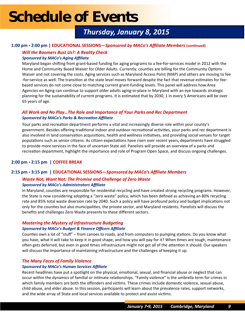## *Thursday, January 8, 2015*

#### **1:00 pm - 2:00 pm | EDUCATIONAL SESSIONS—***Sponsored by MACo's Affiliate Members* **(continued)**

### *Will the Boomers Bust Us?: A Reality Check*

#### *Sponsored by MACo's Aging Affiliate*

Maryland began shifting from grant-based funding for aging programs to a fee-for-services model in 2012 with the Home and Community Based Waiver for Older Adults. Currently, counties are billing for the Community Options Waiver and not covering the costs. Aging services such as Maryland Access Point (MAP) and others are moving to fee -for-service as well. The transition at the state level moves forward despite the fact that revenue estimates for feebased services do not come close to matching current grant-funding levels. This panel will address how Area Agencies on Aging can continue to support older adults aging-in-place in Maryland with an eye towards strategic planning for the sustainability of current programs. It is estimated that by 2030, 1 in every 5 Americans will be over 65 years of age.

#### *All Work and No Play…The Role and Importance of Your Parks and Rec Department Sponsored by MACo's Parks & Recreation Affiliate*

Your parks and recreation department performs a vital and increasingly diverse role within your county's government. Besides offering traditional indoor and outdoor recreational activities, your parks and rec department is also involved in land conservation acquisitions, health and wellness initiatives, and providing social venues for target populations such as senior citizens. As citizen expectations have risen over recent years, departments have struggled to provide more services in the face of uncertain State aid. Panelists will provide an overview of a parks and recreation department, highlight the importance and role of Program Open Space, and discuss ongoing challenges.

#### **2:00 pm - 2:15 pm | COFFEE BREAK**

#### **2:15 pm - 3:15 pm | EDUCATIONAL SESSIONS—***Sponsored by MACo's Affiliate Members*

#### *Waste Not, Want Not: The Promise and Challenge of Zero Waste Sponsored by MACo's Administrators Affiliate*

In Maryland, counties are responsible for residential recycling and have created strong recycling programs. However, the State is now considering adopting a "zero waste" policy, which has been defined as achieving an 80% recycling rate and 85% total waste diversion rate by 2040. Such a policy will have profound policy and budget implications not only for the counties but also municipalities, the private sector, and Maryland residents. Panelists will discuss the benefits and challenges Zero Waste presents to these different sectors.

#### *Mastering the Mystery of Infrastructure Budgeting Sponsored by MACo's Budget & Finance Officers Affiliate*

Counties own a lot of "stuff" – from canoes to roads, and from computers to pumping stations. Do you know what you have, what it will take to keep it in good shape, and how you will pay for it? When times are tough, maintenance often gets deferred, but even in good times infrastructure might not get all of the attention it should. Our speakers will discuss the importance of maintaining infrastructure and the challenges of keeping it up.

#### *The Many Faces of Family Violence*

#### *Sponsored by MACo's Human Services Affiliate*

Recent headlines have put a spotlight on the physical, emotional, sexual, and financial abuse or neglect that can occur within the dynamics of familial or intimate relationships. "Family violence" is the umbrella term for crimes in which family members are both the offenders and victims. These crimes include domestic violence, sexual abuse, child abuse, and elder abuse. In this session, participants will learn about the prevalence rates, support networks, and the wide array of State and local services available to protect and assist victims.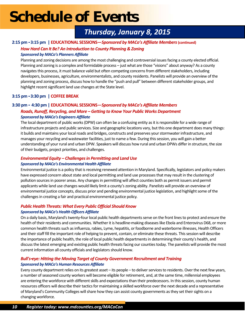## *Thursday, January 8, 2015*

#### **2:15 pm - 3:15 pm | EDUCATIONAL SESSIONS—***Sponsored by MACo's Affiliate Members* **(continued)**

#### *How Hard Can It Be? An Introduction to County Planning & Zoning*

#### *Sponsored by MACo's Planners Affiliate*

Planning and zoning decisions are among the most challenging and controversial issues facing a county elected official. Planning and zoning is a complex and formidable process – just what are those "visions" about anyway? As a county navigates this process, it must balance valid but often competing concerns from different stakeholders, including developers, businesses, agriculture, environmentalists, and county residents. Panelists will provide an overview of the planning and zoning process, discuss how to handle the "push and pull" between different stakeholder groups, and highlight recent significant land use changes at the State level.

#### **3:15 pm - 3:30 pm | COFFEE BREAK**

#### **3:30 pm - 4:30 pm | EDUCATIONAL SESSIONS—***Sponsored by MACo's Affiliate Members*

#### *Roads, Runoff, Recycling, and More – Getting to Know Your Public Works Department Sponsored by MACo's Engineers Affiliate*

The local department of public works (DPW) can often be a confusing entity as it is responsible for a wide range of infrastructure projects and public services. Size and geographic locations vary, but this one department does many things: it builds and maintains your local roads and bridges, constructs and preserves your stormwater infrastructure, and manages your recycling and wastewater facilities, just to name a few. During this session, you will gain a better understanding of your rural and urban DPW. Speakers will discuss how rural and urban DPWs differ in structure, the size of their budgets, project priorities, and challenges.

#### *Environmental Equity – Challenges in Permitting and Land Use Sponsored by MACo's Environmental Health Affiliate*

Environmental justice is a policy that is receiving renewed attention in Maryland. Specifically, legislators and policy makers have expressed concern about state and local permitting and land use processes that may result in the clustering of pollution sources in poorer areas. Any changes in permitting will affect counties both as permit issuers and permit applicants while land use changes would likely limit a county's zoning ability. Panelists will provide an overview of environmental justice concepts, discuss prior and pending environmental justice legislation, and highlight some of the challenges in creating a fair and practical environmental justice policy*.* 

#### *Public Health Threats: What Every Public Official Should Know*

#### *Sponsored by MACo's Health Officers Affiliate*

On a daily basis, Maryland's twenty-four local public health departments serve on the front lines to protect and ensure the health of their residents and communities. Whether it is headline-making diseases like Ebola and Enterovirus D68, or more common health threats such as influenza, rabies, Lyme, hepatitis, or foodborne and waterborne illnesses, Health Officers and their staff fill the important role of helping to prevent, contain, or eliminate these threats. This session will describe the importance of public health, the role of local public health departments in determining their county's health, and discuss the latest emerging and existing public health threats facing our counties today. The panelists will provide the most current information all county officials and legislators should know.

#### *Bull's-eye: Hitting the Moving Target of County Government Recruitment and Training Sponsored by MACo's Human Resources Affiliate*

Every county department relies on its greatest asset – its people – to deliver services to residents. Over the next few years, a number of seasoned county workers will become eligible for retirement, and, at the same time, millennial employees are entering the workforce with different skills and expectations than their predecessors. In this session, county human resources officers will describe their tactics for maintaining a skilled workforce over the next decade and a representative of Maryland's Community Colleges will share how they can assist county governments as they set their sights on a changing workforce.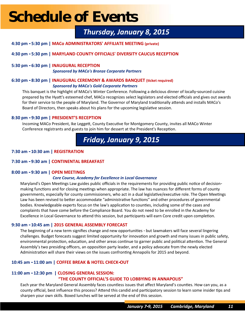## *Thursday, January 8, 2015*

- **4:30 pm - 5:30 pm | MACo ADMINISTRATORS' AFFILIATE MEETING (private)**
- **4:30 pm - 5:30 pm | MARYLAND COUNTY OFFICIALS' DIVERSITY CAUCUS RECEPTION**
- **5:30 pm - 6:30 pm | INAUGURAL RECEPTION** *Sponsored by MACo's Bronze Corporate Partners*

#### **6:30 pm - 8:30 pm | INAUGURAL CEREMONY & AWARDS BANQUET (ticket required)** *Sponsored by MACo's Gold Corporate Partners*

This banquet is the highlight of MACo's Winter Conference. Following a delicious dinner of locally-sourced cuisine prepared by the Hyatt's esteemed chef, MACo recognizes select legislators and elected officials and gives out awards for their service to the people of Maryland. The Governor of Maryland traditionally attends and installs MACo's Board of Directors, then speaks about his plans for the upcoming legislative session.

#### **8:30 pm - 9:30 pm | PRESIDENT'S RECEPTION**

Incoming MACo President, Ike Leggett, County Executive for Montgomery County, invites all MACo Winter Conference registrants and guests to join him for dessert at the President's Reception.

## *Friday, January 9, 2015*

#### **7:30 am - 10:30 am | REGISTRATION**

#### **7:30 am - 9:30 am | CONTINENTAL BREAKFAST**

#### **8:00 am - 9:30 am | OPEN MEETINGS**

#### *Core Course, Academy for Excellence in Local Governance*

Maryland's Open Meetings Law guides public officials in the requirements for providing public notice of decisionmaking functions and for closing meetings when appropriate. The law has nuances for different forms of county governments, especially for county commissioners, who act in a dual legislative/executive role. The Open Meetings Law has been revised to better accommodate "administrative functions" and other procedures of governmental bodies. Knowledgeable experts focus on the law's application to counties, including some of the cases and complaints that have come before the Compliance Board. You do not need to be enrolled in the Academy for Excellence in Local Governance to attend this session, but participants will earn Core credit upon completion.

#### **9:30 am - 10:45 am | 2015 GENERAL ASSEMBLY FORECAST**

The beginning of a new term signifies change and new opportunities - but lawmakers will face several lingering challenges. Budget forecasts suggest limited opportunity for innovation and growth and many issues in public safety, environmental protection, education, and other areas continue to garner public and political attention. The General Assembly's two presiding officers, an opposition party leader, and a policy advocate from the newly elected Administration will share their views on the issues confronting Annapolis for 2015 and beyond.

#### **10:45 am - 11:00 am | COFFEE BREAK & HOTEL CHECK-OUT**

#### **11:00 am - 12:30 pm | CLOSING GENERAL SESSION: "THE COUNTY OFFICIAL'S GUIDE TO LOBBYING IN ANNAPOLIS"**

Each year the Maryland General Assembly faces countless issues that affect Maryland's counties. How can you, as a county official, best influence this process? Attend this candid and participatory session to learn some insider tips and sharpen your own skills. Boxed lunches will be served at the end of this session.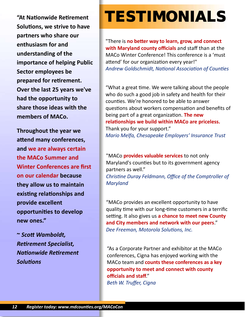**"At Nationwide Retirement Solutions, we strive to have partners who share our enthusiasm for and understanding of the importance of helping Public Sector employees be prepared for retirement. Over the last 25 years we've had the opportunity to share those ideas with the members of MACo.** 

**Throughout the year we attend many conferences, and we are always certain the MACo Summer and Winter Conferences are first on our calendar because they allow us to maintain existing relationships and provide excellent opportunities to develop new ones."** 

**~** *Scott Wamboldt, Retirement Specialist, Nationwide Retirement Solutions*

## TESTIMONIALS

"There is **no better way to learn, grow, and connect with Maryland county officials** and staff than at the MACo Winter Conference! This conference is a 'must attend' for our organization every year!" *Andrew Goldschmidt, National Association of Counties*

"What a great time. We were talking about the people who do such a good job in safety and health for their counties. We're honored to be able to answer questions about workers compensation and benefits of being part of a great organization. **The new relationships we build within MACo are priceless.**  Thank you for your support." *Mario Melfa, Chesapeake Employers' Insurance Trust*

"MACo **provides valuable services** to not only Maryland's counties but to its government agency partners as well."

*Christine Duray Feldmann, Office of the Comptroller of Maryland*

"MACo provides an excellent opportunity to have quality time with our long-time customers in a terrific setting. It also gives us **a chance to meet new County and City members and network with our peers**." *Dee Freeman, Motorola Solutions, Inc.*

"As a Corporate Partner and exhibitor at the MACo conferences, Cigna has enjoyed working with the MACo team and **counts these conferences as a key opportunity to meet and connect with county officials and staff**." *Beth W. Truffer, Cigna*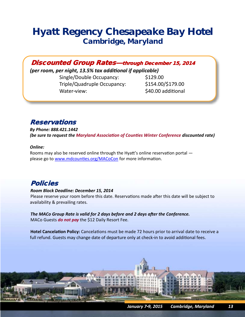## *Hyatt Regency Chesapeake Bay Hotel Cambridge, Maryland*

Discounted Group Rates—through December 15, 2014

*(per room, per night, 13.5% tax additional if applicable)*

Single/Double Occupancy: \$129.00 Triple/Quadruple Occupancy: \$154.00/\$179.00 Water-view:  $\frac{1}{2}$   $\frac{1}{2}$   $\frac{1}{2}$   $\frac{1}{2}$   $\frac{1}{2}$   $\frac{1}{2}$   $\frac{1}{2}$   $\frac{1}{2}$   $\frac{1}{2}$   $\frac{1}{2}$   $\frac{1}{2}$   $\frac{1}{2}$   $\frac{1}{2}$   $\frac{1}{2}$   $\frac{1}{2}$   $\frac{1}{2}$   $\frac{1}{2}$   $\frac{1}{2}$   $\frac{1}{2}$   $\frac{1}{2}$   $\frac{1}{2}$ 

### **Reservations**

*By Phone: 888.421.1442 (be sure to request the Maryland Association of Counties Winter Conference discounted rate)*

#### *Online:*

Rooms may also be reserved online through the Hyatt's online reservation portal please go to [www.mdcounties.org/MACoCon](http://www.mdcounties.org/MACoCon) for more information.

### Policies

#### *Room Block Deadline: December 15, 2014*

Please reserve your room before this date. Reservations made after this date will be subject to availability & prevailing rates.

*The MACo Group Rate is valid for 2 days before and 2 days after the Conference.* MACo Guests *do not pay* the \$12 Daily Resort Fee.

**Hotel Cancelation Policy:** Cancelations must be made 72 hours prior to arrival date to receive a full refund. Guests may change date of departure only at check-in to avoid additional fees.

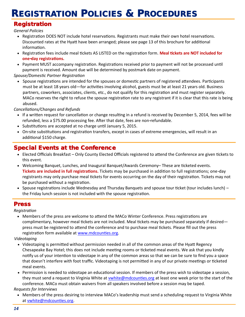## REGISTRATION POLICIES & PROCEDURES

### Registration

*General Policies*

- Registration DOES NOT include hotel reservations. Registrants must make their own hotel reservations. Discounted rates at the Hyatt have been arranged; please see page 13 of this brochure for additional information.
- Registration fees include meal tickets AS LISTED on the registration form. **Meal tickets are NOT included for one-day registrations.**
- Payment MUST accompany registration. Registrations received prior to payment will not be processed until payment is received. Amount due will be determined by postmark date on payment.

*Spouse/Domestic Partner Registration* 

• Spouse registrations are intended for the spouses or domestic partners of registered attendees. Participants must be at least 18 years old—for activities involving alcohol, guests must be at least 21 years old. Business partners, coworkers, associates, clients, etc., do not qualify for this registration and must register separately. MACo reserves the right to refuse the spouse registration rate to any registrant if it is clear that this rate is being abused.

*Cancellations/Changes and Refunds*

- If a written request for cancellation or change resulting in a refund is received by December 5, 2014, fees will be refunded, less a \$75.00 processing fee. After that date, fees are non-refundable.
- Substitutions are accepted at no charge until January 5, 2015.
- On-site substitutions and registration transfers, except in cases of extreme emergencies, will result in an additional \$150 charge.

### Special Events at the Conference

- Elected Officials Breakfast Only County Elected Officials registered to attend the Conference are given tickets to this event.
- Welcoming Banquet, Lunches, and Inaugural Banquet/Awards Ceremony– These are ticketed events. **Tickets are included in full registrations.** Tickets may be purchased in addition to full registrations; one-day registrants may only purchase meal tickets for events occurring on the day of their registration. Tickets may not be purchased without a registration.
- Spouse registrations include Wednesday and Thursday Banquets and spouse tour ticket (tour includes lunch) the Friday lunch session is not included with the spouse registration.

#### Press

*Registration*

 Members of the press are welcome to attend the MACo Winter Conference. Press registrations are complimentary, however meal tickets are not included. Meal tickets may be purchased separately if desired press must be registered to attend the conference and to purchase meal tickets. Please fill out the press registration form available at www.mdcounties.org.

*Videotaping*

- Videotaping is permitted without permission needed in all of the common areas of the Hyatt Regency Chesapeake Bay Hotel; this does not include meeting rooms or ticketed meal events. We ask that you kindly notify us of your intention to videotape in any of the common areas so that we can be sure to find you a space that doesn't interfere with foot traffic. Videotaping is not permitted in any of our private meetings or ticketed meal events.
- Permission is needed to videotape an educational session. If members of the press wish to videotape a session, they must send a request to Virginia White at [vwhite@mdcounties.org](mailto:vwhite@mdcounties.org) at least one week prior to the start of the conference. MACo must obtain waivers from all speakers involved before a session may be taped.

*Requests for Interviews*

 Members of the press desiring to interview MACo's leadership must send a scheduling request to Virginia White at [vwhite@mdcounties.org.](mailto:vwhite@mdcounties.org)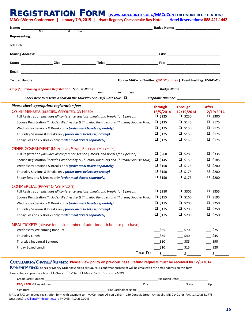#### REGISTRATION FORM **[\(www.mdcounties.org/MACoCon](http://www.mdcounties.org/MACoCon) for online registration) MACo Winter Conference | January 7-9, 2015 | Hyatt Regency Chesapeake Bay Hotel | [Hotel Reservations:](https://resweb.passkey.com/Resweb.do?mode=welcome_ei_new&eventID=10572373) 888.421.1442**

|       |           |      |  | Badge Name: Name and South Assembly and South Assembly and South Assembly and South Assembly and South Assembly |
|-------|-----------|------|--|-----------------------------------------------------------------------------------------------------------------|
| First | <b>MI</b> | Last |  |                                                                                                                 |
|       |           |      |  |                                                                                                                 |
|       |           |      |  |                                                                                                                 |
|       |           |      |  |                                                                                                                 |
|       |           |      |  |                                                                                                                 |
|       |           |      |  |                                                                                                                 |
|       |           |      |  | Follow MACo on Twitter: @MDCounties   Event hashtag: #MACoCon                                                   |

| <b>Only if purchasing a Spouse Registration: Spouse Name:</b>                                                                                                                                                                                                                                                                                                                                                                                   |                                                                              | Badge Name: Name and Second Contract of the Second Contract of the Second Contract of the Second Contract of the Second Contract of the Second Contract of the Second Contract of the Second Contract of the Second Contract o |                                                                              |  |  |
|-------------------------------------------------------------------------------------------------------------------------------------------------------------------------------------------------------------------------------------------------------------------------------------------------------------------------------------------------------------------------------------------------------------------------------------------------|------------------------------------------------------------------------------|--------------------------------------------------------------------------------------------------------------------------------------------------------------------------------------------------------------------------------|------------------------------------------------------------------------------|--|--|
| MI<br><b>First</b><br>Last<br>Check here to reserve a seat on the Thursday Spouse/Guest Tour: $\Box$                                                                                                                                                                                                                                                                                                                                            |                                                                              |                                                                                                                                                                                                                                |                                                                              |  |  |
| Please check appropriate registration fee:<br>COUNTY MEMBERS (ELECTED, APPOINTED, OR HIRED)<br>Full Registration (includes all conference sessions, meals, and breaks for 1 person)                                                                                                                                                                                                                                                             | <b>Through</b><br>12/5/2014<br>$\Box$ \$225                                  | <b>Through</b><br>12/19/2014<br>$\Box$ \$250                                                                                                                                                                                   | <b>After</b><br>12/19/2014<br>$\Box$ \$300                                   |  |  |
| Spouse Registration (Includes Wednesday & Thursday Banquets and Thursday Spouse Tour)<br>Wednesday Sessions & Breaks only (order meal tickets separately)                                                                                                                                                                                                                                                                                       | $\Box$ \$135<br>$\square$ \$125                                              | $\Box$ \$140<br>$\Box$ \$150                                                                                                                                                                                                   | $\Box$ \$175<br>$\Box$ \$175                                                 |  |  |
| Thursday Sessions & Breaks only (order meal tickets separately)<br>Friday Sessions & Breaks only (order meal tickets separately)                                                                                                                                                                                                                                                                                                                | $\Box$ \$125<br>$\Box$ \$125                                                 | $\Box$ \$150<br>$\Box$ \$150                                                                                                                                                                                                   | $\Box$ \$175<br>$\Box$ \$175                                                 |  |  |
| OTHER GOVERNMENT (MUNICIPAL, STATE, FEDERAL EMPLOYEES)<br>Full Registration (includes all conference sessions, meals, and breaks for 1 person)<br>Spouse Registration (Includes Wednesday & Thursday Banquets and Thursday Spouse Tour)<br>Wednesday Sessions & Breaks only (order meal tickets separately)<br>Thursday Sessions & Breaks only (order meal tickets separately)<br>Friday Sessions & Breaks only (order meal tickets separately) | $\Box$ \$260<br>$\Box$ \$145<br>$\Box$ \$150<br>$\Box$ \$150<br>$\Box$ \$150 | $\Box$ \$285<br>$\Box$ \$150<br>$\Box$ \$175<br>$\Box$ \$175<br>$\Box$ \$175                                                                                                                                                   | $\Box$ \$335<br>$\Box$ \$185<br>$\Box$ \$200<br>$\Box$ \$200<br>$\Box$ \$200 |  |  |
| <b>COMMERCIAL (PROFIT &amp; NON-PROFIT)</b><br>Full Registration (includes all conference sessions, meals, and breaks for 1 person)<br>Spouse Registration (Includes Wednesday & Thursday Banquets and Thursday Spouse Tour)<br>Wednesday Sessions & Breaks only (order meal tickets separately)<br>Thursday Sessions & Breaks only (order meal tickets separately)<br>Friday Sessions & Breaks only (order meal tickets separately)            | $\Box$ \$280<br>$\Box$ \$155<br>$\Box$ \$175<br>$\Box$ \$175<br>$\Box$ \$175 | $\Box$ \$305<br>$\Box$ \$160<br>$\Box$ \$200<br>$\Box$ \$200<br>$\Box$ \$200                                                                                                                                                   | $\Box$ \$355<br>$\Box$ \$195<br>$\Box$ \$250<br>$\Box$ \$250<br>$\Box$ \$250 |  |  |
| MEAL TICKETS (please indicate number of additional tickets to purchase)<br>Wednesday Welcoming Banquet<br>Thursday Lunch<br>Thursday Inaugural Banquet<br>Friday Boxed Lunch                                                                                                                                                                                                                                                                    | \$65<br>\$35<br>\$80<br>\$10                                                 | \$70<br>\$40<br>\$85<br>\$15                                                                                                                                                                                                   | \$75<br>$-$ \$45<br>\$90<br>\$20                                             |  |  |
| <b>TOTAL DUE:</b>                                                                                                                                                                                                                                                                                                                                                                                                                               | \$                                                                           | \$                                                                                                                                                                                                                             | \$                                                                           |  |  |

#### CANCELLATIONS/CHANGES/REFUNDS: **Please view policy on previous page. Refund requests must be received by 12/5/2014.**

PAYMENT METHOD: Check or Money Order payable to **MACo.** Your confirmation/receipt will be emailed to the email address on this form.

Please check appropriate box:  $\Box$  Check  $\Box$  VISA  $\Box$  MasterCard *(sorry no AMEX)* 

| Credit Card Number:                |                               | Expiration Date |  |  |
|------------------------------------|-------------------------------|-----------------|--|--|
| <b>REQUIRED - Billing Address:</b> | City                          | State<br>Zir    |  |  |
| Signature:                         | <b>Print Cardholder Name:</b> |                 |  |  |

MAIL or FAX completed registration form with payment to: MACo - Attn: Allison Valliant, 169 Conduit Street, Annapolis, MD 21401 or FAX: 1.410.268.1775 Questions? [avalliant@mdcounties.org](mailto:avalliant@mdcounties.org) PHONE: 410.269.0043